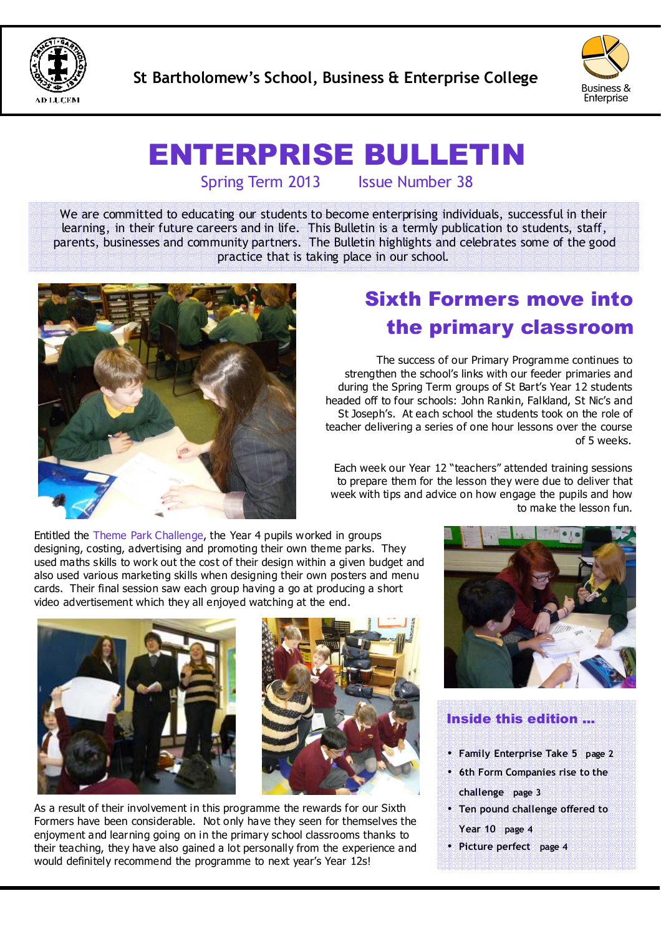



# ENTERPRISE BULLETIN

Spring Term 2013 Issue Number 38

We are committed to educating our students to become enterprising individuals, successful in their learning, in their future careers and in life. This Bulletin is a termly publication to students, staff, parents, businesses and community partners. The Bulletin highlights and celebrates some of the good practice that is taking place in our school.



## Sixth Formers move into the primary classroom

The success of our Primary Programme continues to strengthen the school's links with our feeder primaries and during the Spring Term groups of St Bart's Year 12 students headed off to four schools: John Rankin, Falkland, St Nic's and St Joseph's. At each school the students took on the role of teacher delivering a series of one hour lessons over the course of 5 weeks.

Each week our Year 12 "teachers" attended training sessions to prepare them for the lesson they were due to deliver that week with tips and advice on how engage the pupils and how to make the lesson fun.

Entitled the Theme Park Challenge, the Year 4 pupils worked in groups designing, costing, advertising and promoting their own theme parks. They used maths skills to work out the cost of their design within a given budget and also used various marketing skills when designing their own posters and menu cards. Their final session saw each group having a go at producing a short video advertisement which they all enjoyed watching at the end.





As a result of their involvement in this programme the rewards for our Sixth Formers have been considerable. Not only have they seen for themselves the enjoyment and learning going on in the primary school classrooms thanks to their teaching, they have also gained a lot personally from the experience and would definitely recommend the programme to next year's Year 12s!



#### Inside this edition ...

- **Family Enterprise Take 5 page 2**
- **6th Form Companies rise to the challenge page 3**
- **Ten pound challenge offered to Year 10 page 4**
- **Picture perfect page 4**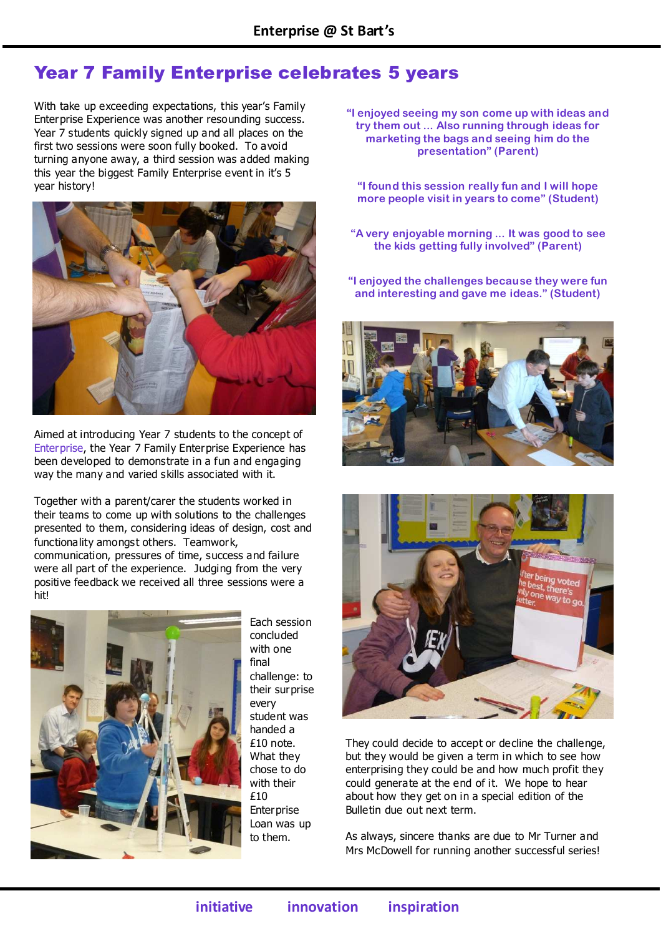### Year 7 Family Enterprise celebrates 5 years

With take up exceeding expectations, this year's Family Enterprise Experience was another resounding success. Year 7 students quickly signed up and all places on the first two sessions were soon fully booked. To avoid turning anyone away, a third session was added making this year the biggest Family Enterprise event in it's 5 year history!



Aimed at introducing Year 7 students to the concept of Enterprise, the Year 7 Family Enterprise Experience has been developed to demonstrate in a fun and engaging way the many and varied skills associated with it.

Together with a parent/carer the students worked in their teams to come up with solutions to the challenges presented to them, considering ideas of design, cost and functionality amongst others. Teamwork, communication, pressures of time, success and failure were all part of the experience. Judging from the very positive feedback we received all three sessions were a hit!



Each session concluded with one final challenge: to their surprise every student was handed a £10 note. What they chose to do with their £10 **Enterprise** Loan was up to them.

**"I enjoyed seeing my son come up with ideas and try them out ... Also running through ideas for marketing the bags and seeing him do the presentation" (Parent)** 

**"I found this session really fun and I will hope more people visit in years to come" (Student)** 

**"A very enjoyable morning ... It was good to see the kids getting fully involved" (Parent)** 

**"I enjoyed the challenges because they were fun and interesting and gave me ideas." (Student)** 





They could decide to accept or decline the challenge, but they would be given a term in which to see how enterprising they could be and how much profit they could generate at the end of it. We hope to hear about how they get on in a special edition of the Bulletin due out next term.

As always, sincere thanks are due to Mr Turner and Mrs McDowell for running another successful series!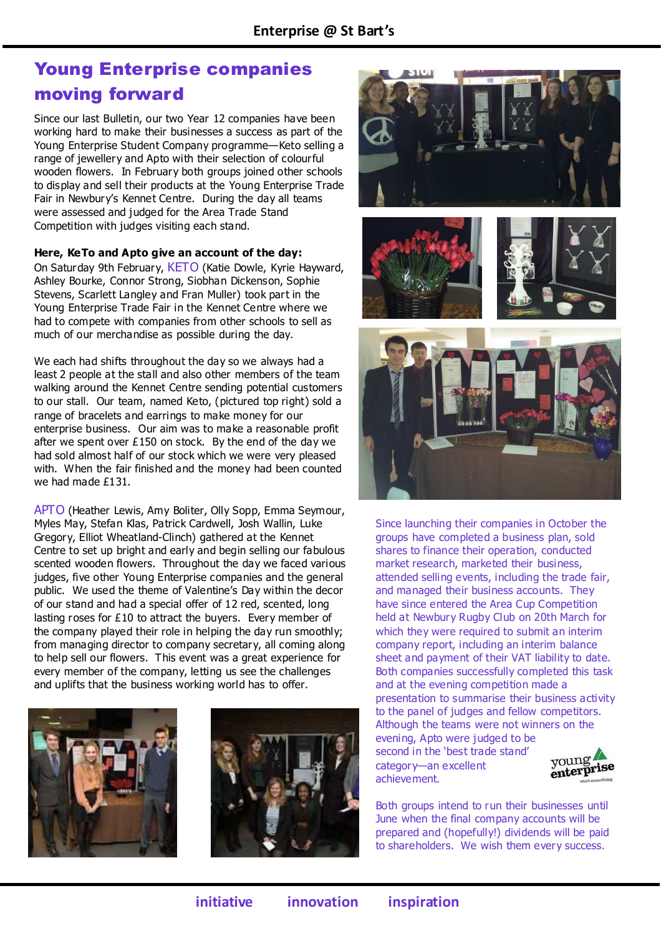### Young Enterprise companies moving forward

Since our last Bulletin, our two Year 12 companies have been working hard to make their businesses a success as part of the Young Enterprise Student Company programme—Keto selling a range of jewellery and Apto with their selection of colourful wooden flowers. In February both groups joined other schools to display and sell their products at the Young Enterprise Trade Fair in Newbury's Kennet Centre. During the day all teams were assessed and judged for the Area Trade Stand Competition with judges visiting each stand.

**Here, KeTo and Apto give an account of the day:** 

On Saturday 9th February, KETO (Katie Dowle, Kyrie Hayward, Ashley Bourke, Connor Strong, Siobhan Dickenson, Sophie Stevens, Scarlett Langley and Fran Muller) took part in the Young Enterprise Trade Fair in the Kennet Centre where we had to compete with companies from other schools to sell as much of our merchandise as possible during the day.

We each had shifts throughout the day so we always had a least 2 people at the stall and also other members of the team walking around the Kennet Centre sending potential customers to our stall. Our team, named Keto, (pictured top right) sold a range of bracelets and earrings to make money for our enterprise business. Our aim was to make a reasonable profit after we spent over £150 on stock. By the end of the day we had sold almost half of our stock which we were very pleased with. When the fair finished and the money had been counted we had made £131.

APTO (Heather Lewis, Amy Boliter, Olly Sopp, Emma Seymour, Myles May, Stefan Klas, Patrick Cardwell, Josh Wallin, Luke Gregory, Elliot Wheatland-Clinch) gathered at the Kennet Centre to set up bright and early and begin selling our fabulous scented wooden flowers. Throughout the day we faced various judges, five other Young Enterprise companies and the general public. We used the theme of Valentine's Day within the decor of our stand and had a special offer of 12 red, scented, long lasting roses for £10 to attract the buyers. Every member of the company played their role in helping the day run smoothly; from managing director to company secretary, all coming along to help sell our flowers. This event was a great experience for every member of the company, letting us see the challenges and uplifts that the business working world has to offer.











Since launching their companies in October the groups have completed a business plan, sold shares to finance their operation, conducted market research, marketed their business, attended selling events, including the trade fair, and managed their business accounts. They have since entered the Area Cup Competition held at Newbury Rugby Club on 20th March for which they were required to submit an interim company report, including an interim balance sheet and payment of their VAT liability to date. Both companies successfully completed this task and at the evening competition made a presentation to summarise their business activity to the panel of judges and fellow competitors. Although the teams were not winners on the evening, Apto were judged to be second in the 'best trade stand' young category—an excellent enterprise achievement.



Both groups intend to run their businesses until June when the final company accounts will be prepared and (hopefully!) dividends will be paid to shareholders. We wish them every success.